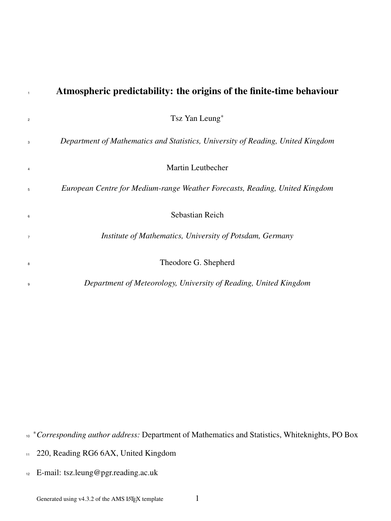| $\mathbf{1}$ | Atmospheric predictability: the origins of the finite-time behaviour            |
|--------------|---------------------------------------------------------------------------------|
| 2            | Tsz Yan Leung <sup>*</sup>                                                      |
| 3            | Department of Mathematics and Statistics, University of Reading, United Kingdom |
| 4            | Martin Leutbecher                                                               |
| 5            | European Centre for Medium-range Weather Forecasts, Reading, United Kingdom     |
| 6            | Sebastian Reich                                                                 |
| 7            | Institute of Mathematics, University of Potsdam, Germany                        |
| 8            | Theodore G. Shepherd                                                            |
| 9            | Department of Meteorology, University of Reading, United Kingdom                |
|              |                                                                                 |

<sup>∗</sup>*Corresponding author address:* Department of Mathematics and Statistics, Whiteknights, PO Box 10

220, Reading RG6 6AX, United Kingdom 11

<sup>12</sup> E-mail: tsz.leung@pgr.reading.ac.uk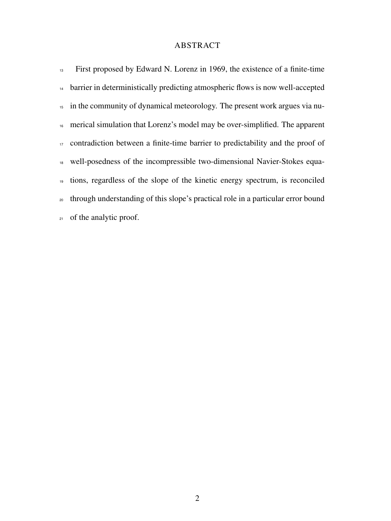# ABSTRACT

| 13 | First proposed by Edward N. Lorenz in 1969, the existence of a finite-time                   |
|----|----------------------------------------------------------------------------------------------|
|    | <sup>14</sup> barrier in deterministically predicting atmospheric flows is now well-accepted |
|    | <sup>15</sup> in the community of dynamical meteorology. The present work argues via nu-     |
|    | <sup>16</sup> merical simulation that Lorenz's model may be over-simplified. The apparent    |
|    | <sup>17</sup> contradiction between a finite-time barrier to predictability and the proof of |
|    | 18 well-posedness of the incompressible two-dimensional Navier-Stokes equa-                  |
|    | <sup>19</sup> tions, regardless of the slope of the kinetic energy spectrum, is reconciled   |
|    | 20 through understanding of this slope's practical role in a particular error bound          |
|    | 21 of the analytic proof.                                                                    |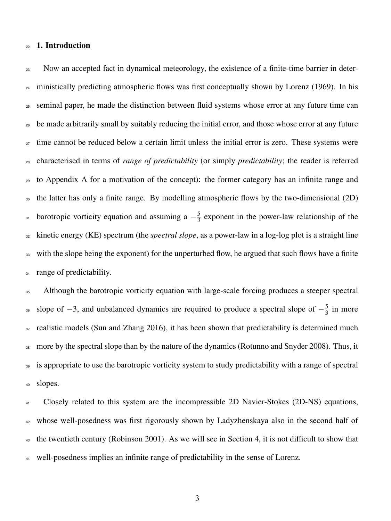### <sup>22</sup> 1. Introduction

<sup>23</sup> Now an accepted fact in dynamical meteorology, the existence of a finite-time barrier in deter-<sup>24</sup> ministically predicting atmospheric flows was first conceptually shown by Lorenz (1969). In his <sup>25</sup> seminal paper, he made the distinction between fluid systems whose error at any future time can <sup>26</sup> be made arbitrarily small by suitably reducing the initial error, and those whose error at any future <sub>27</sub> time cannot be reduced below a certain limit unless the initial error is zero. These systems were <sup>28</sup> characterised in terms of *range of predictability* (or simply *predictability*; the reader is referred <sup>29</sup> to Appendix A for a motivation of the concept): the former category has an infinite range and <sup>30</sup> the latter has only a finite range. By modelling atmospheric flows by the two-dimensional (2D) barotropic vorticity equation and assuming a  $-\frac{5}{3}$ <sup>31</sup> barotropic vorticity equation and assuming a  $-\frac{5}{3}$  exponent in the power-law relationship of the <sup>32</sup> kinetic energy (KE) spectrum (the *spectral slope*, as a power-law in a log-log plot is a straight line <sup>33</sup> with the slope being the exponent) for the unperturbed flow, he argued that such flows have a finite <sup>34</sup> range of predictability.

<sup>35</sup> Although the barotropic vorticity equation with large-scale forcing produces a steeper spectral slope of  $-3$ , and unbalanced dynamics are required to produce a spectral slope of  $-\frac{5}{3}$ s slope of  $-3$ , and unbalanced dynamics are required to produce a spectral slope of  $-\frac{5}{3}$  in more  $37$  realistic models (Sun and Zhang 2016), it has been shown that predictability is determined much <sup>38</sup> more by the spectral slope than by the nature of the dynamics (Rotunno and Snyder 2008). Thus, it <sup>39</sup> is appropriate to use the barotropic vorticity system to study predictability with a range of spectral <sup>40</sup> slopes.

 Closely related to this system are the incompressible 2D Navier-Stokes (2D-NS) equations, whose well-posedness was first rigorously shown by Ladyzhenskaya also in the second half of  $_{43}$  the twentieth century (Robinson 2001). As we will see in Section 4, it is not difficult to show that well-posedness implies an infinite range of predictability in the sense of Lorenz.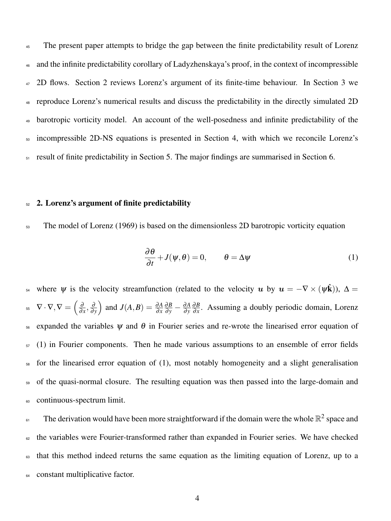<sup>45</sup> The present paper attempts to bridge the gap between the finite predictability result of Lorenz and the infinite predictability corollary of Ladyzhenskaya's proof, in the context of incompressible 2D flows. Section 2 reviews Lorenz's argument of its finite-time behaviour. In Section 3 we reproduce Lorenz's numerical results and discuss the predictability in the directly simulated 2D barotropic vorticity model. An account of the well-posedness and infinite predictability of the incompressible 2D-NS equations is presented in Section 4, with which we reconcile Lorenz's result of finite predictability in Section 5. The major findings are summarised in Section 6.

#### $52$  2. Lorenz's argument of finite predictability

<sup>53</sup> The model of Lorenz (1969) is based on the dimensionless 2D barotropic vorticity equation

$$
\frac{\partial \theta}{\partial t} + J(\psi, \theta) = 0, \qquad \theta = \Delta \psi \tag{1}
$$

<sup>54</sup> where *ψ* is the velocity streamfunction (related to the velocity *u* by  $u = -∇ × (ψk)$ ),  $Δ =$  $\nabla \cdot \nabla, \nabla = \left(\frac{\partial}{\partial \nabla \cdot \nabla \cdot \nabla \cdot \nabla \cdot \nabla \cdot \nabla \cdot \nabla \cdot \nabla \cdot \nabla \cdot \nabla \cdot \nabla \cdot \nabla \cdot \nabla \cdot \nabla \cdot \nabla \cdot \nabla \cdot \nabla \cdot \nabla \cdot \nabla \cdot \nabla \cdot \nabla \cdot \nabla \cdot \nabla \cdot \nabla \cdot \nabla \cdot \nabla \cdot \nabla \cdot \nabla \cdot \nabla \cdot \nabla \cdot \nabla \cdot \nabla \cdot \nabla$  $\frac{\partial}{\partial x}, \frac{\partial}{\partial y}$ ∂ *y*  $\int$  and *J*(*A*, *B*) =  $\frac{\partial A}{\partial x}$  $\frac{\partial B}{\partial y} - \frac{\partial A}{\partial y}$ ∂ *y* ∂*B* <sup>55</sup>  $\nabla \cdot \nabla \cdot \nabla = \left(\frac{\partial}{\partial x}, \frac{\partial}{\partial y}\right)$  and  $J(A, B) = \frac{\partial A}{\partial x} \frac{\partial B}{\partial y} - \frac{\partial A}{\partial y} \frac{\partial B}{\partial x}$ . Assuming a doubly periodic domain, Lorenz  $56$  expanded the variables  $\psi$  and  $\theta$  in Fourier series and re-wrote the linearised error equation of  $57 \text{ (1)}$  in Fourier components. Then he made various assumptions to an ensemble of error fields <sup>58</sup> for the linearised error equation of (1), most notably homogeneity and a slight generalisation <sup>59</sup> of the quasi-normal closure. The resulting equation was then passed into the large-domain and <sup>60</sup> continuous-spectrum limit.

 $\epsilon_1$  The derivation would have been more straightforward if the domain were the whole  $\mathbb{R}^2$  space and <sup>62</sup> the variables were Fourier-transformed rather than expanded in Fourier series. We have checked <sup>63</sup> that this method indeed returns the same equation as the limiting equation of Lorenz, up to a <sup>64</sup> constant multiplicative factor.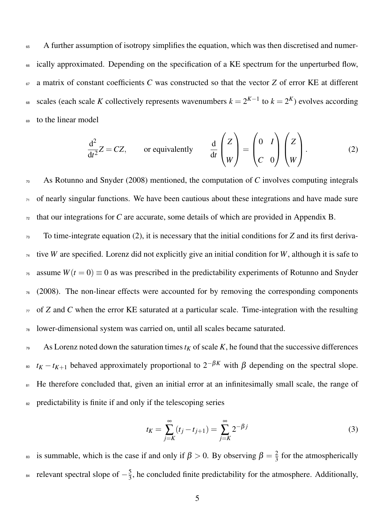<sup>65</sup> A further assumption of isotropy simplifies the equation, which was then discretised and numer-<sup>66</sup> ically approximated. Depending on the specification of a KE spectrum for the unperturbed flow, <sup>67</sup> a matrix of constant coefficients *C* was constructed so that the vector *Z* of error KE at different ss scales (each scale *K* collectively represents wavenumbers  $k = 2^{K-1}$  to  $k = 2^K$ ) evolves according <sup>69</sup> to the linear model

$$
\frac{d^2}{dt^2}Z = CZ, \qquad \text{or equivalently} \qquad \frac{d}{dt} \begin{pmatrix} Z \\ W \end{pmatrix} = \begin{pmatrix} 0 & I \\ C & 0 \end{pmatrix} \begin{pmatrix} Z \\ W \end{pmatrix}.
$$
 (2)

<sup>70</sup> As Rotunno and Snyder (2008) mentioned, the computation of *C* involves computing integrals  $71$  of nearly singular functions. We have been cautious about these integrations and have made sure  $\tau$ <sub>72</sub> that our integrations for *C* are accurate, some details of which are provided in Appendix B.

<sup>73</sup> To time-integrate equation (2), it is necessary that the initial conditions for *Z* and its first deriva-<sup>74</sup> tive *W* are specified. Lorenz did not explicitly give an initial condition for *W*, although it is safe to <sup>75</sup> assume  $W(t=0) \equiv 0$  as was prescribed in the predictability experiments of Rotunno and Snyder  $76 \quad (2008)$ . The non-linear effects were accounted for by removing the corresponding components  $\pi$  of *Z* and *C* when the error KE saturated at a particular scale. Time-integration with the resulting <sup>78</sup> lower-dimensional system was carried on, until all scales became saturated.

 $79$  As Lorenz noted down the saturation times  $t_K$  of scale *K*, he found that the successive differences <sup>80</sup> *t<sub>K</sub>* − *t<sub>K+1</sub>* behaved approximately proportional to  $2^{-\beta K}$  with  $\beta$  depending on the spectral slope. 81 He therefore concluded that, given an initial error at an infinitesimally small scale, the range of <sup>82</sup> predictability is finite if and only if the telescoping series

$$
t_K = \sum_{j=K}^{\infty} (t_j - t_{j+1}) = \sum_{j=K}^{\infty} 2^{-\beta j}
$$
 (3)

is summable, which is the case if and only if  $\beta > 0$ . By observing  $\beta = \frac{2}{3}$ <sup>83</sup> is summable, which is the case if and only if  $\beta > 0$ . By observing  $\beta = \frac{2}{3}$  for the atmospherically relevant spectral slope of  $-\frac{5}{3}$ <sup>84</sup> relevant spectral slope of  $-\frac{5}{3}$ , he concluded finite predictability for the atmosphere. Additionally,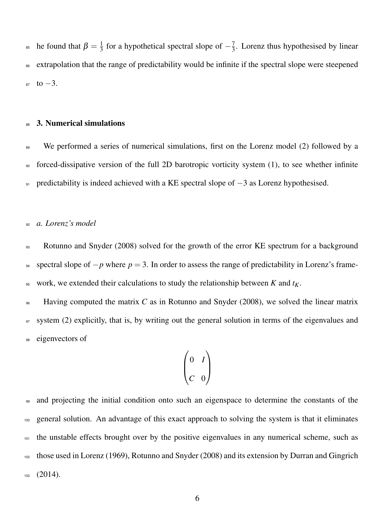he found that  $\beta = \frac{1}{3}$  $\frac{1}{3}$  for a hypothetical spectral slope of  $-\frac{7}{3}$ <sup>85</sup> he found that  $\beta = \frac{1}{3}$  for a hypothetical spectral slope of  $-\frac{7}{3}$ . Lorenz thus hypothesised by linear <sup>86</sup> extrapolation that the range of predictability would be infinite if the spectral slope were steepened  $87 \text{ to } -3.$ 

#### 88 3. Numerical simulations

89 We performed a series of numerical simulations, first on the Lorenz model (2) followed by a <sup>90</sup> forced-dissipative version of the full 2D barotropic vorticity system (1), to see whether infinite 91 predictability is indeed achieved with a KE spectral slope of  $-3$  as Lorenz hypothesised.

### <sup>92</sup> *a. Lorenz's model*

<sup>93</sup> Rotunno and Snyder (2008) solved for the growth of the error KE spectrum for a background 94 spectral slope of  $-p$  where  $p = 3$ . In order to assess the range of predictability in Lorenz's frame- $\psi$ <sub>5</sub> work, we extended their calculations to study the relationship between *K* and  $t_K$ .

<sup>96</sup> Having computed the matrix *C* as in Rotunno and Snyder (2008), we solved the linear matrix <sup>97</sup> system (2) explicitly, that is, by writing out the general solution in terms of the eigenvalues and <sup>98</sup> eigenvectors of

$$
\begin{pmatrix} 0 & I \\ C & 0 \end{pmatrix}
$$

<sup>99</sup> and projecting the initial condition onto such an eigenspace to determine the constants of the <sup>100</sup> general solution. An advantage of this exact approach to solving the system is that it eliminates 101 the unstable effects brought over by the positive eigenvalues in any numerical scheme, such as <sup>102</sup> those used in Lorenz (1969), Rotunno and Snyder (2008) and its extension by Durran and Gingrich  $103$   $(2014)$ .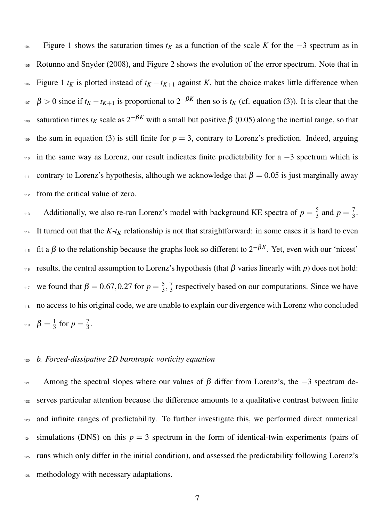<sup>104</sup> Figure 1 shows the saturation times *t<sup>K</sup>* as a function of the scale *K* for the −3 spectrum as in <sup>105</sup> Rotunno and Snyder (2008), and Figure 2 shows the evolution of the error spectrum. Note that in  $t_K$  Figure 1  $t_K$  is plotted instead of  $t_K - t_{K+1}$  against K, but the choice makes little difference when <sup>107</sup>  $\beta > 0$  since if  $t_K - t_{K+1}$  is proportional to  $2^{-\beta K}$  then so is  $t_K$  (cf. equation (3)). It is clear that the <sup>108</sup> saturation times *t<sub>K</sub>* scale as  $2^{-\beta K}$  with a small but positive  $\beta$  (0.05) along the inertial range, so that 109 the sum in equation (3) is still finite for  $p = 3$ , contrary to Lorenz's prediction. Indeed, arguing  $110$  in the same way as Lorenz, our result indicates finite predictability for a  $-3$  spectrum which is 111 contrary to Lorenz's hypothesis, although we acknowledge that  $\beta = 0.05$  is just marginally away 112 from the critical value of zero.

Additionally, we also re-ran Lorenz's model with background KE spectra of  $p = \frac{5}{3}$  $\frac{5}{3}$  and  $p = \frac{7}{3}$ Additionally, we also re-ran Lorenz's model with background KE spectra of  $p = \frac{5}{3}$  and  $p = \frac{7}{3}$ . 114 It turned out that the  $K$ - $t_K$  relationship is not that straightforward: in some cases it is hard to even <sup>115</sup> fit a β to the relationship because the graphs look so different to  $2^{-\beta K}$ . Yet, even with our 'nicest' 116 results, the central assumption to Lorenz's hypothesis (that β varies linearly with  $p$ ) does not hold: we found that  $β = 0.67, 0.27$  for  $p = \frac{5}{3}$  $\frac{5}{3}, \frac{7}{3}$ <sup>117</sup> we found that  $\beta = 0.67, 0.27$  for  $p = \frac{5}{3}, \frac{7}{3}$  respectively based on our computations. Since we have <sup>118</sup> no access to his original code, we are unable to explain our divergence with Lorenz who concluded  $\beta=\frac{1}{3}$  $\frac{1}{3}$  for  $p = \frac{7}{3}$ <sup>119</sup>  $\beta = \frac{1}{3}$  for  $p = \frac{7}{3}$ .

#### <sup>120</sup> *b. Forced-dissipative 2D barotropic vorticity equation*

121 Among the spectral slopes where our values of  $\beta$  differ from Lorenz's, the −3 spectrum de-122 serves particular attention because the difference amounts to a qualitative contrast between finite and infinite ranges of predictability. To further investigate this, we performed direct numerical simulations (DNS) on this  $p = 3$  spectrum in the form of identical-twin experiments (pairs of runs which only differ in the initial condition), and assessed the predictability following Lorenz's methodology with necessary adaptations.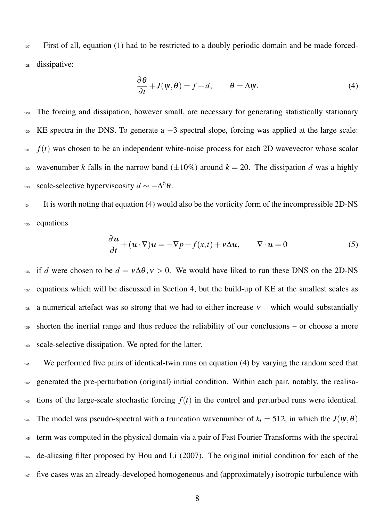$127$  First of all, equation (1) had to be restricted to a doubly periodic domain and be made forced-<sup>128</sup> dissipative:

$$
\frac{\partial \theta}{\partial t} + J(\psi, \theta) = f + d, \qquad \theta = \Delta \psi.
$$
 (4)

<sup>129</sup> The forcing and dissipation, however small, are necessary for generating statistically stationary  $130$  KE spectra in the DNS. To generate a  $-3$  spectral slope, forcing was applied at the large scale:  $f(t)$  was chosen to be an independent white-noise process for each 2D wavevector whose scalar <sup>132</sup> wavenumber *k* falls in the narrow band  $(\pm 10\%)$  around  $k = 20$ . The dissipation *d* was a highly scale-selective hyperviscosity  $d \sim -\Delta^6 \theta$ .

<sup>134</sup> It is worth noting that equation (4) would also be the vorticity form of the incompressible 2D-NS <sup>135</sup> equations

$$
\frac{\partial u}{\partial t} + (u \cdot \nabla)u = -\nabla p + f(x, t) + v \Delta u, \qquad \nabla \cdot u = 0 \tag{5}
$$

<sup>136</sup> if *d* were chosen to be  $d = v \Delta \theta$ ,  $v > 0$ . We would have liked to run these DNS on the 2D-NS 137 equations which will be discussed in Section 4, but the build-up of KE at the smallest scales as 138 a numerical artefact was so strong that we had to either increase  $v$  – which would substantially <sup>139</sup> shorten the inertial range and thus reduce the reliability of our conclusions – or choose a more <sup>140</sup> scale-selective dissipation. We opted for the latter.

<sup>141</sup> We performed five pairs of identical-twin runs on equation (4) by varying the random seed that <sup>142</sup> generated the pre-perturbation (original) initial condition. Within each pair, notably, the realisa-143 tions of the large-scale stochastic forcing  $f(t)$  in the control and perturbed runs were identical. 144 The model was pseudo-spectral with a truncation wavenumber of  $k_t = 512$ , in which the  $J(\psi, \theta)$ <sup>145</sup> term was computed in the physical domain via a pair of Fast Fourier Transforms with the spectral <sup>146</sup> de-aliasing filter proposed by Hou and Li (2007). The original initial condition for each of the <sup>147</sup> five cases was an already-developed homogeneous and (approximately) isotropic turbulence with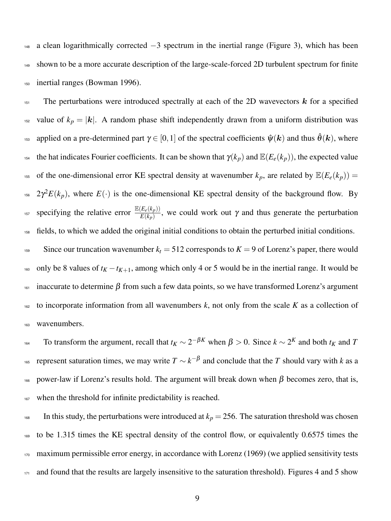148 a clean logarithmically corrected  $-3$  spectrum in the inertial range (Figure 3), which has been <sup>149</sup> shown to be a more accurate description of the large-scale-forced 2D turbulent spectrum for finite <sup>150</sup> inertial ranges (Bowman 1996).

<sup>151</sup> The perturbations were introduced spectrally at each of the 2D wavevectors  $k$  for a specified <sup>152</sup> value of  $k_p = |\mathbf{k}|$ . A random phase shift independently drawn from a uniform distribution was as applied on a pre-determined part  $\gamma \in [0,1]$  of the spectral coefficients  $\hat{\psi}(k)$  and thus  $\hat{\theta}(k)$ , where 154 the hat indicates Fourier coefficients. It can be shown that  $\gamma(k_p)$  and  $\mathbb{E}(E_e(k_p))$ , the expected value <sup>155</sup> of the one-dimensional error KE spectral density at wavenumber  $k_p$ , are related by  $\mathbb{E}(E_e(k_p))$  = <sup>156</sup>  $2\gamma^2 E(k_p)$ , where  $E(\cdot)$  is the one-dimensional KE spectral density of the background flow. By <sup>157</sup> specifying the relative error  $\frac{\mathbb{E}(E_e(k_p))}{E(k_p)}$ , we could work out γ and thus generate the perturbation <sup>158</sup> fields, to which we added the original initial conditions to obtain the perturbed initial conditions.

<sup>159</sup> Since our truncation wavenumber  $k_t = 512$  corresponds to  $K = 9$  of Lorenz's paper, there would <sup>160</sup> only be 8 values of  $t_K - t_{K+1}$ , among which only 4 or 5 would be in the inertial range. It would be  $161$  inaccurate to determine  $\beta$  from such a few data points, so we have transformed Lorenz's argument 162 to incorporate information from all wavenumbers  $k$ , not only from the scale  $K$  as a collection of <sup>163</sup> wavenumbers.

<sup>164</sup> To transform the argument, recall that  $t_K \sim 2^{-\beta K}$  when  $\beta > 0$ . Since  $k \sim 2^K$  and both  $t_K$  and *T* <sup>165</sup> represent saturation times, we may write  $T \sim k^{-\beta}$  and conclude that the *T* should vary with *k* as a 166 power-law if Lorenz's results hold. The argument will break down when  $\beta$  becomes zero, that is, 167 when the threshold for infinite predictability is reached.

168 In this study, the perturbations were introduced at  $k_p = 256$ . The saturation threshold was chosen <sup>169</sup> to be 1.315 times the KE spectral density of the control flow, or equivalently 0.6575 times the <sup>170</sup> maximum permissible error energy, in accordance with Lorenz (1969) (we applied sensitivity tests 171 and found that the results are largely insensitive to the saturation threshold). Figures 4 and 5 show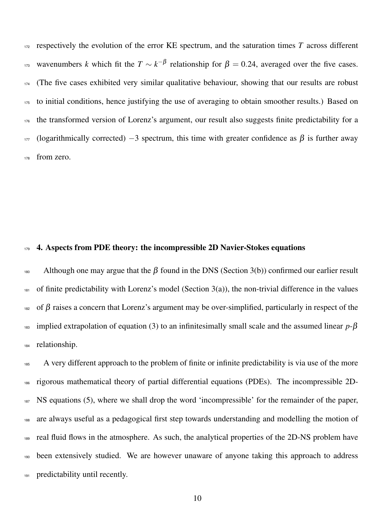respectively the evolution of the error KE spectrum, and the saturation times *T* across different  $\mu_{173}$  wavenumbers *k* which fit the  $T \sim k^{-\beta}$  relationship for  $\beta = 0.24$ , averaged over the five cases. (The five cases exhibited very similar qualitative behaviour, showing that our results are robust to initial conditions, hence justifying the use of averaging to obtain smoother results.) Based on the transformed version of Lorenz's argument, our result also suggests finite predictability for a (logarithmically corrected)  $-3$  spectrum, this time with greater confidence as  $\beta$  is further away from zero.

### 4. Aspects from PDE theory: the incompressible 2D Navier-Stokes equations

<sup>180</sup> Although one may argue that the β found in the DNS (Section 3(b)) confirmed our earlier result 181 of finite predictability with Lorenz's model (Section  $3(a)$ ), the non-trivial difference in the values of  $\beta$  raises a concern that Lorenz's argument may be over-simplified, particularly in respect of the implied extrapolation of equation (3) to an infinitesimally small scale and the assumed linear *p*-β relationship.

<sup>185</sup> A very different approach to the problem of finite or infinite predictability is via use of the more rigorous mathematical theory of partial differential equations (PDEs). The incompressible 2D- NS equations (5), where we shall drop the word 'incompressible' for the remainder of the paper, are always useful as a pedagogical first step towards understanding and modelling the motion of real fluid flows in the atmosphere. As such, the analytical properties of the 2D-NS problem have been extensively studied. We are however unaware of anyone taking this approach to address 191 predictability until recently.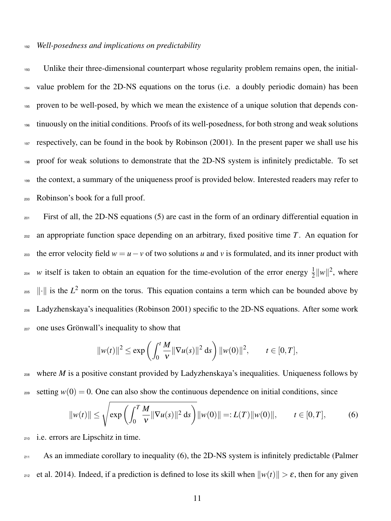#### <sup>192</sup> *Well-posedness and implications on predictability*

<sup>193</sup> Unlike their three-dimensional counterpart whose regularity problem remains open, the initial- value problem for the 2D-NS equations on the torus (i.e. a doubly periodic domain) has been proven to be well-posed, by which we mean the existence of a unique solution that depends con- tinuously on the initial conditions. Proofs of its well-posedness, for both strong and weak solutions respectively, can be found in the book by Robinson (2001). In the present paper we shall use his proof for weak solutions to demonstrate that the 2D-NS system is infinitely predictable. To set the context, a summary of the uniqueness proof is provided below. Interested readers may refer to Robinson's book for a full proof.

<sup>201</sup> First of all, the 2D-NS equations (5) are cast in the form of an ordinary differential equation in <sup>202</sup> an appropriate function space depending on an arbitrary, fixed positive time *T*. An equation for 203 the error velocity field  $w = u - v$  of two solutions *u* and *v* is formulated, and its inner product with <sup>204</sup> w itself is taken to obtain an equation for the time-evolution of the error energy  $\frac{1}{2}||w||^2$ , where  $\|\cdot\|$  is the  $L^2$  norm on the torus. This equation contains a term which can be bounded above by <sup>206</sup> Ladyzhenskaya's inequalities (Robinson 2001) specific to the 2D-NS equations. After some work <sub>207</sub> one uses Grönwall's inequality to show that

$$
||w(t)||^2 \le \exp\left(\int_0^t \frac{M}{v} ||\nabla u(s)||^2 ds\right) ||w(0)||^2, \qquad t \in [0, T],
$$

<sup>208</sup> where *M* is a positive constant provided by Ladyzhenskaya's inequalities. Uniqueness follows by <sup>209</sup> setting  $w(0) = 0$ . One can also show the continuous dependence on initial conditions, since

$$
||w(t)|| \le \sqrt{\exp\left(\int_0^T \frac{M}{v} ||\nabla u(s)||^2 \, ds\right)} ||w(0)|| =: L(T)||w(0)||, \qquad t \in [0, T], \tag{6}
$$

<sup>210</sup> i.e. errors are Lipschitz in time.

211 As an immediate corollary to inequality (6), the 2D-NS system is infinitely predictable (Palmer <sup>212</sup> et al. 2014). Indeed, if a prediction is defined to lose its skill when  $\|w(t)\| > \varepsilon$ , then for any given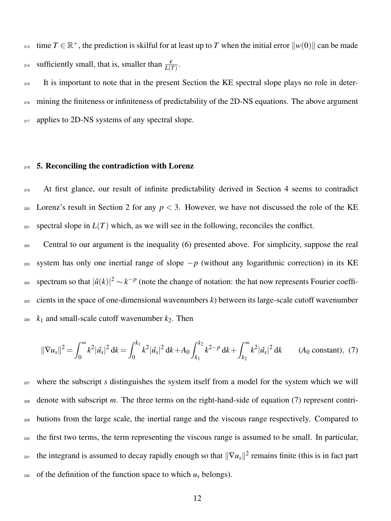<sup>213</sup> time  $T \in \mathbb{R}^+$ , the prediction is skilful for at least up to *T* when the initial error  $\|w(0)\|$  can be made <sup>214</sup> sufficiently small, that is, smaller than  $\frac{\varepsilon}{L(T)}$ .

<sup>215</sup> It is important to note that in the present Section the KE spectral slope plays no role in deter-<sup>216</sup> mining the finiteness or infiniteness of predictability of the 2D-NS equations. The above argument 217 applies to 2D-NS systems of any spectral slope.

#### **218 5. Reconciling the contradiction with Lorenz**

<sup>219</sup> At first glance, our result of infinite predictability derived in Section 4 seems to contradict 220 Lorenz's result in Section 2 for any  $p < 3$ . However, we have not discussed the role of the KE <sup>221</sup> spectral slope in  $L(T)$  which, as we will see in the following, reconciles the conflict.

<sub>222</sub> Central to our argument is the inequality (6) presented above. For simplicity, suppose the real 223 system has only one inertial range of slope  $-p$  (without any logarithmic correction) in its KE spectrum so that  $|\hat{u}(k)|^2 \sim k^{-p}$  (note the change of notation: the hat now represents Fourier coeffi- $225$  cients in the space of one-dimensional wavenumbers  $k$ ) between its large-scale cutoff wavenumber  $k_1$  and small-scale cutoff wavenumber  $k_2$ . Then

$$
\|\nabla u_s\|^2 = \int_0^\infty k^2 |\hat{u}_s|^2 \, \mathrm{d}k = \int_0^{k_1} k^2 |\hat{u}_s|^2 \, \mathrm{d}k + A_0 \int_{k_1}^{k_2} k^{2-p} \, \mathrm{d}k + \int_{k_2}^\infty k^2 |\hat{u}_s|^2 \, \mathrm{d}k \qquad (A_0 \text{ constant}), \tag{7}
$$

<sup>227</sup> where the subscript *s* distinguishes the system itself from a model for the system which we will <sup>228</sup> denote with subscript *m*. The three terms on the right-hand-side of equation (7) represent contri-<sup>229</sup> butions from the large scale, the inertial range and the viscous range respectively. Compared to <sup>230</sup> the first two terms, the term representing the viscous range is assumed to be small. In particular,  $_{{}^{231}}$  the integrand is assumed to decay rapidly enough so that  $\|\nabla u_s\|^2$  remains finite (this is in fact part  $_{232}$  of the definition of the function space to which  $u_s$  belongs).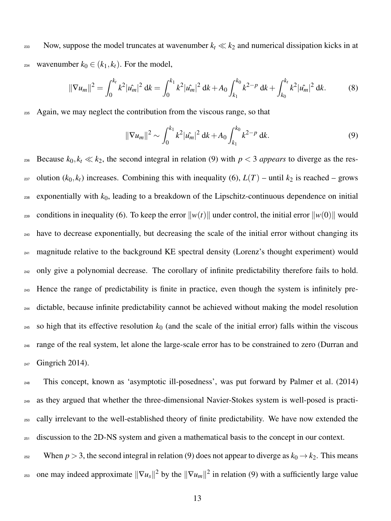233 Now, suppose the model truncates at wavenumber  $k_t \ll k_2$  and numerical dissipation kicks in at 234 wavenumber  $k_0 \in (k_1, k_t)$ . For the model,

$$
\|\nabla u_m\|^2 = \int_0^{k_t} k^2 |\hat{u}_m|^2 \, \mathrm{d}k = \int_0^{k_1} k^2 |\hat{u}_m|^2 \, \mathrm{d}k + A_0 \int_{k_1}^{k_0} k^{2-p} \, \mathrm{d}k + \int_{k_0}^{k_t} k^2 |\hat{u}_m|^2 \, \mathrm{d}k. \tag{8}
$$

Again, we may neglect the contribution from the viscous range, so that

$$
\|\nabla u_m\|^2 \sim \int_0^{k_1} k^2 |\hat{u}_m|^2 \, \mathrm{d}k + A_0 \int_{k_1}^{k_0} k^{2-p} \, \mathrm{d}k. \tag{9}
$$

236 Because  $k_0, k_t \ll k_2$ , the second integral in relation (9) with  $p < 3$  *appears* to diverge as the res-<sup>237</sup> olution ( $k_0, k_t$ ) increases. Combining this with inequality (6),  $L(T)$  – until  $k_2$  is reached – grows  $238$  exponentially with  $k_0$ , leading to a breakdown of the Lipschitz-continuous dependence on initial 239 conditions in inequality (6). To keep the error  $\|w(t)\|$  under control, the initial error  $\|w(0)\|$  would <sup>240</sup> have to decrease exponentially, but decreasing the scale of the initial error without changing its <sup>241</sup> magnitude relative to the background KE spectral density (Lorenz's thought experiment) would <sup>242</sup> only give a polynomial decrease. The corollary of infinite predictability therefore fails to hold. <sup>243</sup> Hence the range of predictability is finite in practice, even though the system is infinitely pre-<sup>244</sup> dictable, because infinite predictability cannot be achieved without making the model resolution <sup>245</sup> so high that its effective resolution  $k_0$  (and the scale of the initial error) falls within the viscous <sup>246</sup> range of the real system, let alone the large-scale error has to be constrained to zero (Durran and  $_{247}$  Gingrich 2014).

 This concept, known as 'asymptotic ill-posedness', was put forward by Palmer et al. (2014) as they argued that whether the three-dimensional Navier-Stokes system is well-posed is practi- cally irrelevant to the well-established theory of finite predictability. We have now extended the 251 discussion to the 2D-NS system and given a mathematical basis to the concept in our context.

<sup>252</sup> When  $p > 3$ , the second integral in relation (9) does not appear to diverge as  $k_0 \rightarrow k_2$ . This means <sup>253</sup> one may indeed approximate  $\|\nabla u_s\|^2$  by the  $\|\nabla u_m\|^2$  in relation (9) with a sufficiently large value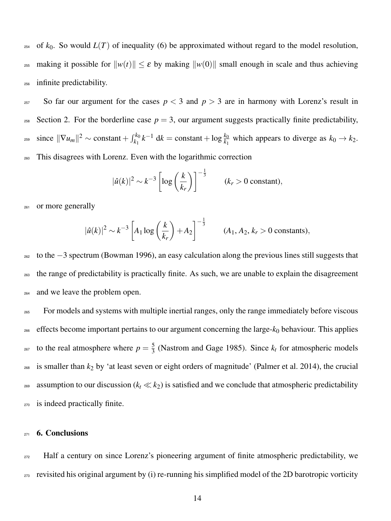<sup>254</sup> of  $k_0$ . So would  $L(T)$  of inequality (6) be approximated without regard to the model resolution, <sup>255</sup> making it possible for  $||w(t)|| \leq \varepsilon$  by making  $||w(0)||$  small enough in scale and thus achieving <sup>256</sup> infinite predictability.

 $257$  So far our argument for the cases  $p < 3$  and  $p > 3$  are in harmony with Lorenz's result in <sup>258</sup> Section 2. For the borderline case  $p = 3$ , our argument suggests practically finite predictability,  $\sum_{k=1}^{\infty}$  since  $\|\nabla u_m\|^2$  ∼ constant +  $\int_{k_1}^{k_0} k^{-1} dx$  = constant + log  $\frac{k_0}{k_1}$  which appears to diverge as  $k_0 \to k_2$ . <sup>260</sup> This disagrees with Lorenz. Even with the logarithmic correction

$$
|\hat{u}(k)|^2 \sim k^{-3} \left[ \log \left( \frac{k}{k_r} \right) \right]^{-\frac{1}{3}} \qquad (k_r > 0 \text{ constant}),
$$

<sup>261</sup> or more generally

$$
|\hat{u}(k)|^2 \sim k^{-3} \left[ A_1 \log \left( \frac{k}{k_r} \right) + A_2 \right]^{-\frac{1}{3}}
$$
 (*A*<sub>1</sub>, *A*<sub>2</sub>, *k<sub>r</sub>* > 0 constants),

 $202$  to the  $-3$  spectrum (Bowman 1996), an easy calculation along the previous lines still suggests that <sub>263</sub> the range of predictability is practically finite. As such, we are unable to explain the disagreement <sup>264</sup> and we leave the problem open.

<sup>265</sup> For models and systems with multiple inertial ranges, only the range immediately before viscous  $266$  effects become important pertains to our argument concerning the large- $k_0$  behaviour. This applies to the real atmosphere where  $p = \frac{5}{3}$ <sup>267</sup> to the real atmosphere where  $p = \frac{5}{3}$  (Nastrom and Gage 1985). Since  $k_t$  for atmospheric models  $_{268}$  is smaller than  $k_2$  by 'at least seven or eight orders of magnitude' (Palmer et al. 2014), the crucial 269 assumption to our discussion ( $k_t \ll k_2$ ) is satisfied and we conclude that atmospheric predictability <sup>270</sup> is indeed practically finite.

#### 271 **6. Conclusions**

<sup>272</sup> Half a century on since Lorenz's pioneering argument of finite atmospheric predictability, we <sub>273</sub> revisited his original argument by (i) re-running his simplified model of the 2D barotropic vorticity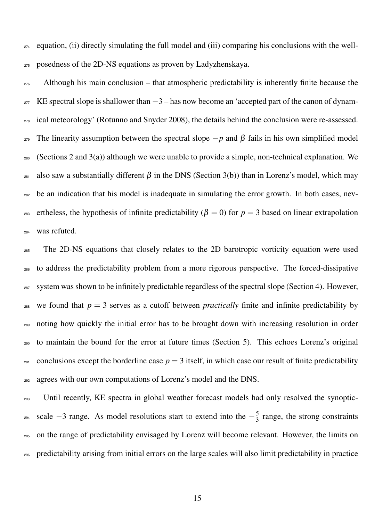$_{274}$  equation, (ii) directly simulating the full model and (iii) comparing his conclusions with the well-<sup>275</sup> posedness of the 2D-NS equations as proven by Ladyzhenskaya.

 $276$  Although his main conclusion – that atmospheric predictability is inherently finite because the  $277$  KE spectral slope is shallower than  $-3$  – has now become an 'accepted part of the canon of dynam-<sub>278</sub> ical meteorology' (Rotunno and Snyder 2008), the details behind the conclusion were re-assessed. 279 The linearity assumption between the spectral slope  $-p$  and  $\beta$  fails in his own simplified model  $_{280}$  (Sections 2 and 3(a)) although we were unable to provide a simple, non-technical explanation. We  $281$  also saw a substantially different β in the DNS (Section 3(b)) than in Lorenz's model, which may <sup>282</sup> be an indication that his model is inadequate in simulating the error growth. In both cases, nev-<sup>283</sup> ertheless, the hypothesis of infinite predictability ( $\beta = 0$ ) for  $p = 3$  based on linear extrapolation <sup>284</sup> was refuted.

<sub>285</sub> The 2D-NS equations that closely relates to the 2D barotropic vorticity equation were used to address the predictability problem from a more rigorous perspective. The forced-dissipative system was shown to be infinitely predictable regardless of the spectral slope (Section 4). However, <sup>288</sup> we found that  $p = 3$  serves as a cutoff between *practically* finite and infinite predictability by noting how quickly the initial error has to be brought down with increasing resolution in order to maintain the bound for the error at future times (Section 5). This echoes Lorenz's original 291 conclusions except the borderline case  $p = 3$  itself, in which case our result of finite predictability agrees with our own computations of Lorenz's model and the DNS.

<sup>293</sup> Until recently, KE spectra in global weather forecast models had only resolved the synopticscale  $-3$  range. As model resolutions start to extend into the  $-\frac{5}{3}$ <sup>294</sup> scale  $-3$  range. As model resolutions start to extend into the  $-\frac{5}{3}$  range, the strong constraints <sup>295</sup> on the range of predictability envisaged by Lorenz will become relevant. However, the limits on <sup>296</sup> predictability arising from initial errors on the large scales will also limit predictability in practice

15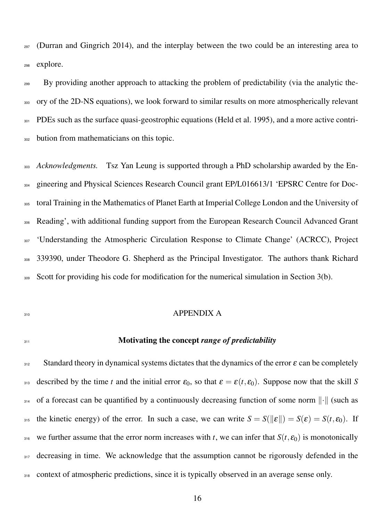<sup>297</sup> (Durran and Gingrich 2014), and the interplay between the two could be an interesting area to <sup>298</sup> explore.

<sup>299</sup> By providing another approach to attacking the problem of predictability (via the analytic the-<sup>300</sup> ory of the 2D-NS equations), we look forward to similar results on more atmospherically relevant <sup>301</sup> PDEs such as the surface quasi-geostrophic equations (Held et al. 1995), and a more active contri-<sup>302</sup> bution from mathematicians on this topic.

<sup>303</sup> *Acknowledgments.* Tsz Yan Leung is supported through a PhD scholarship awarded by the En-<sup>304</sup> gineering and Physical Sciences Research Council grant EP/L016613/1 'EPSRC Centre for Doc-<sup>305</sup> toral Training in the Mathematics of Planet Earth at Imperial College London and the University of <sup>306</sup> Reading', with additional funding support from the European Research Council Advanced Grant <sup>307</sup> 'Understanding the Atmospheric Circulation Response to Climate Change' (ACRCC), Project 339390, under Theodore G. Shepherd as the Principal Investigator. The authors thank Richard <sup>309</sup> Scott for providing his code for modification for the numerical simulation in Section 3(b).

#### <sup>310</sup> APPENDIX A

## <sup>311</sup> Motivating the concept *range of predictability*

 $312$  Standard theory in dynamical systems dictates that the dynamics of the error  $\varepsilon$  can be completely 313 described by the time *t* and the initial error  $\varepsilon_0$ , so that  $\varepsilon = \varepsilon(t, \varepsilon_0)$ . Suppose now that the skill *S* 314 of a forecast can be quantified by a continuously decreasing function of some norm  $\lVert \cdot \rVert$  (such as 315 the kinetic energy) of the error. In such a case, we can write  $S = S(||\varepsilon||) = S(\varepsilon) = S(t, \varepsilon_0)$ . If 316 we further assume that the error norm increases with *t*, we can infer that  $S(t, \varepsilon_0)$  is monotonically 317 decreasing in time. We acknowledge that the assumption cannot be rigorously defended in the 318 context of atmospheric predictions, since it is typically observed in an average sense only.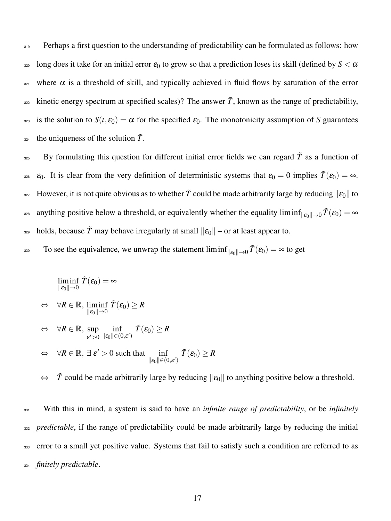<sup>319</sup> Perhaps a first question to the understanding of predictability can be formulated as follows: how  $\alpha$  long does it take for an initial error  $\varepsilon_0$  to grow so that a prediction loses its skill (defined by  $S < \alpha$  $321$  where  $\alpha$  is a threshold of skill, and typically achieved in fluid flows by saturation of the error <sub>322</sub> kinetic energy spectrum at specified scales)? The answer  $\tilde{T}$ , known as the range of predictability, 323 is the solution to  $S(t, \varepsilon_0) = \alpha$  for the specified  $\varepsilon_0$ . The monotonicity assumption of *S* guarantees <sub>324</sub> the uniqueness of the solution  $\tilde{T}$ .

<sup>325</sup> By formulating this question for different initial error fields we can regard  $\tilde{T}$  as a function of <sub>326</sub>  $\varepsilon_0$ . It is clear from the very definition of deterministic systems that  $\varepsilon_0 = 0$  implies  $\tilde{T}(\varepsilon_0) = \infty$ .  $\mathbb{E}_{327}$  However, it is not quite obvious as to whether  $\tilde{T}$  could be made arbitrarily large by reducing  $\|\mathcal{E}_0\|$  to anything positive below a threshold, or equivalently whether the equality liminf<sub>le $\rho_0 \to 0 \tilde{T}(\epsilon_0) = \infty$ </sub> <sup>329</sup> holds, because  $\tilde{T}$  may behave irregularly at small  $||\varepsilon_0||$  – or at least appear to.

To see the equivalence, we unwrap the statement  $\liminf_{\|\varepsilon_0\| \to 0} \tilde{T}(\varepsilon_0) = \infty$  to get

$$
\liminf_{\|\mathcal{E}_0\| \to 0} \tilde{T}(\mathcal{E}_0) = \infty
$$
\n
$$
\Leftrightarrow \forall R \in \mathbb{R}, \liminf_{\|\mathcal{E}_0\| \to 0} \tilde{T}(\mathcal{E}_0) \ge R
$$
\n
$$
\Leftrightarrow \forall R \in \mathbb{R}, \sup_{\mathcal{E}' > 0} \inf_{\|\mathcal{E}_0\| \in (0,\mathcal{E}')} \tilde{T}(\mathcal{E}_0) \ge R
$$
\n
$$
\Leftrightarrow \forall R \in \mathbb{R}, \exists \mathcal{E}' > 0 \text{ such that } \inf_{\|\mathcal{E}_0\| \in (0,\mathcal{E}')} \tilde{T}(\mathcal{E}_0) \ge R
$$

 $\Leftrightarrow$   $\tilde{T}$  could be made arbitrarily large by reducing  $\|\varepsilon_0\|$  to anything positive below a threshold.

<sup>331</sup> With this in mind, a system is said to have an *infinite range of predictability*, or be *infinitely* <sub>332</sub> *predictable*, if the range of predictability could be made arbitrarily large by reducing the initial 333 error to a small yet positive value. Systems that fail to satisfy such a condition are referred to as <sup>334</sup> *finitely predictable*.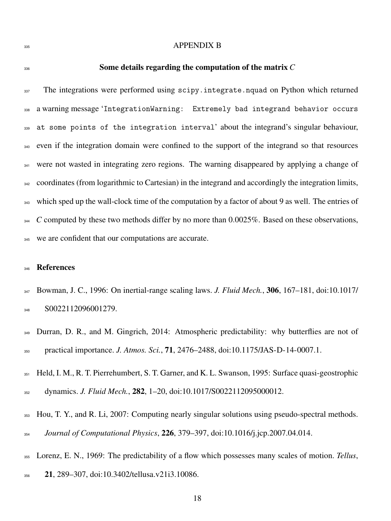#### APPENDIX B

#### Some details regarding the computation of the matrix *C*

<sup>337</sup> The integrations were performed using scipy.integrate.nquad on Python which returned a warning message 'IntegrationWarning: Extremely bad integrand behavior occurs at some points of the integration interval' about the integrand's singular behaviour, <sub>340</sub> even if the integration domain were confined to the support of the integrand so that resources <sup>341</sup> were not wasted in integrating zero regions. The warning disappeared by applying a change of <sup>342</sup> coordinates (from logarithmic to Cartesian) in the integrand and accordingly the integration limits, <sup>343</sup> which sped up the wall-clock time of the computation by a factor of about 9 as well. The entries of <sup>344</sup> *C* computed by these two methods differ by no more than 0.0025%. Based on these observations, we are confident that our computations are accurate.

### References

- Bowman, J. C., 1996: On inertial-range scaling laws. *J. Fluid Mech.*, 306, 167–181, doi:10.1017/ 348 S0022112096001279.
- <sup>349</sup> Durran, D. R., and M. Gingrich, 2014: Atmospheric predictability: why butterflies are not of practical importance. *J. Atmos. Sci.*, 71, 2476–2488, doi:10.1175/JAS-D-14-0007.1.
- Held, I. M., R. T. Pierrehumbert, S. T. Garner, and K. L. Swanson, 1995: Surface quasi-geostrophic
- dynamics. *J. Fluid Mech.*, 282, 1–20, doi:10.1017/S0022112095000012.
- Hou, T. Y., and R. Li, 2007: Computing nearly singular solutions using pseudo-spectral methods. *Journal of Computational Physics*, 226, 379–397, doi:10.1016/j.jcp.2007.04.014.
- Lorenz, E. N., 1969: The predictability of a flow which possesses many scales of motion. *Tellus*,
- 21, 289–307, doi:10.3402/tellusa.v21i3.10086.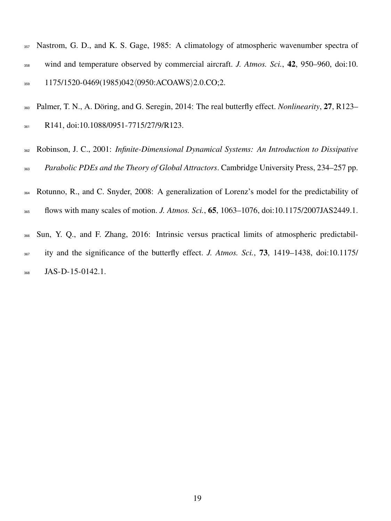- Nastrom, G. D., and K. S. Gage, 1985: A climatology of atmospheric wavenumber spectra of wind and temperature observed by commercial aircraft. *J. Atmos. Sci.*, 42, 950–960, doi:10. 1175/1520-0469(1985)042 $\langle$ 0950:ACOAWS $\rangle$ 2.0.CO;2.
- 360 Palmer, T. N., A. Döring, and G. Seregin, 2014: The real butterfly effect. *Nonlinearity*, 27, R123– 361 R141, doi:10.1088/0951-7715/27/9/R123.
- Robinson, J. C., 2001: *Infinite-Dimensional Dynamical Systems: An Introduction to Dissipative Parabolic PDEs and the Theory of Global Attractors*. Cambridge University Press, 234–257 pp.
- Rotunno, R., and C. Snyder, 2008: A generalization of Lorenz's model for the predictability of
- flows with many scales of motion. *J. Atmos. Sci.*, 65, 1063–1076, doi:10.1175/2007JAS2449.1.
- Sun, Y. Q., and F. Zhang, 2016: Intrinsic versus practical limits of atmospheric predictabil- ity and the significance of the butterfly effect. *J. Atmos. Sci.*, 73, 1419–1438, doi:10.1175/ JAS-D-15-0142.1.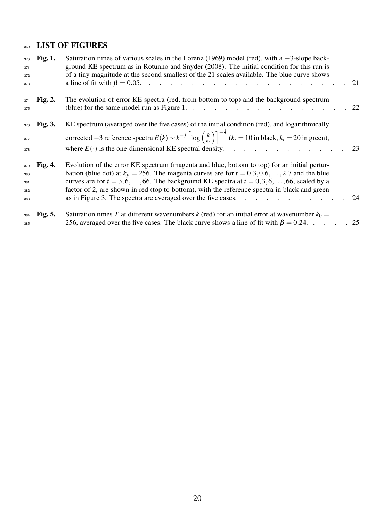# 369 LIST OF FIGURES

| 370<br>371<br>372<br>373        | <b>Fig. 1.</b> | Saturation times of various scales in the Lorenz (1969) model (red), with a $-3$ -slope back-<br>ground KE spectrum as in Rotunno and Snyder (2008). The initial condition for this run is<br>of a tiny magnitude at the second smallest of the 21 scales available. The blue curve shows<br>a line of fit with $\beta = 0.05$ .                                                                                                                                                          |  |
|---------------------------------|----------------|-------------------------------------------------------------------------------------------------------------------------------------------------------------------------------------------------------------------------------------------------------------------------------------------------------------------------------------------------------------------------------------------------------------------------------------------------------------------------------------------|--|
| 374<br>375                      | <b>Fig. 2.</b> | The evolution of error KE spectra (red, from bottom to top) and the background spectrum<br>(blue) for the same model run as Figure 1. 22                                                                                                                                                                                                                                                                                                                                                  |  |
| 376<br>377<br>378               | <b>Fig. 3.</b> | KE spectrum (averaged over the five cases) of the initial condition (red), and logarithmically<br>corrected -3 reference spectra $E(k) \sim k^{-3} \left[ \log \left( \frac{k}{k_r} \right) \right]^{-\frac{1}{3}} (k_r = 10 \text{ in black}, k_r = 20 \text{ in green}),$<br>where $E(\cdot)$ is the one-dimensional KE spectral density. 23                                                                                                                                            |  |
| 379<br>380<br>381<br>382<br>383 | <b>Fig. 4.</b> | Evolution of the error KE spectrum (magenta and blue, bottom to top) for an initial pertur-<br>bation (blue dot) at $k_p = 256$ . The magenta curves are for $t = 0.3, 0.6, \ldots, 2.7$ and the blue<br>curves are for $t = 3, 6, \ldots, 66$ . The background KE spectra at $t = 0, 3, 6, \ldots, 66$ , scaled by a<br>factor of 2, are shown in red (top to bottom), with the reference spectra in black and green<br>as in Figure 3. The spectra are averaged over the five cases. 24 |  |
| 384<br>385                      | <b>Fig. 5.</b> | Saturation times T at different wavenumbers k (red) for an initial error at wavenumber $k_0 =$<br>256, averaged over the five cases. The black curve shows a line of fit with $\beta = 0.24$ . 25                                                                                                                                                                                                                                                                                         |  |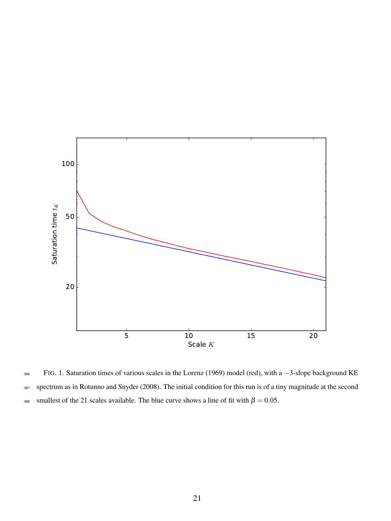

FIG. 1. Saturation times of various scales in the Lorenz (1969) model (red), with a −3-slope background KE spectrum as in Rotunno and Snyder (2008). The initial condition for this run is of a tiny magnitude at the second smallest of the 21 scales available. The blue curve shows a line of fit with  $\beta = 0.05$ .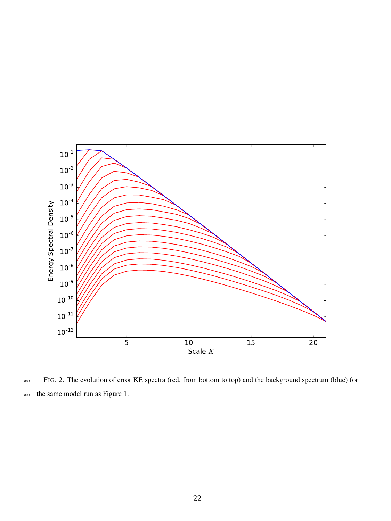

FIG. 2. The evolution of error KE spectra (red, from bottom to top) and the background spectrum (blue) for the same model run as Figure 1.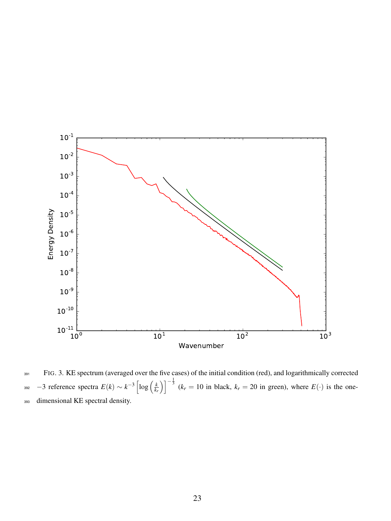

FIG. 3. KE spectrum (averaged over the five cases) of the initial condition (red), and logarithmically corrected −3 reference spectra  $E(k) \sim k^{-3} \left[ \log \left( \frac{k}{k_r} \right) \right]^{-\frac{1}{3}}$  ( $k_r = 10$  in black,  $k_r = 20$  in green), where  $E(\cdot)$  is the onedimensional KE spectral density.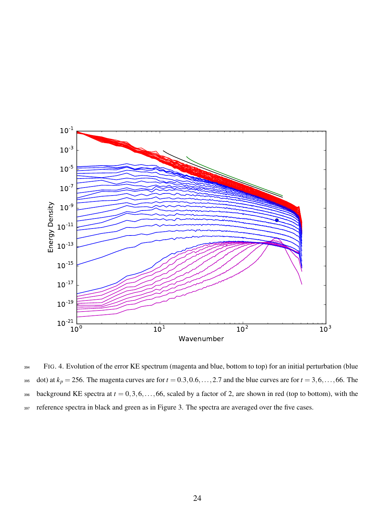

FIG. 4. Evolution of the error KE spectrum (magenta and blue, bottom to top) for an initial perturbation (blue dot) at  $k_p = 256$ . The magenta curves are for  $t = 0.3, 0.6, \ldots, 2.7$  and the blue curves are for  $t = 3, 6, \ldots, 66$ . The background KE spectra at  $t = 0, 3, 6, \ldots, 66$ , scaled by a factor of 2, are shown in red (top to bottom), with the reference spectra in black and green as in Figure 3. The spectra are averaged over the five cases.